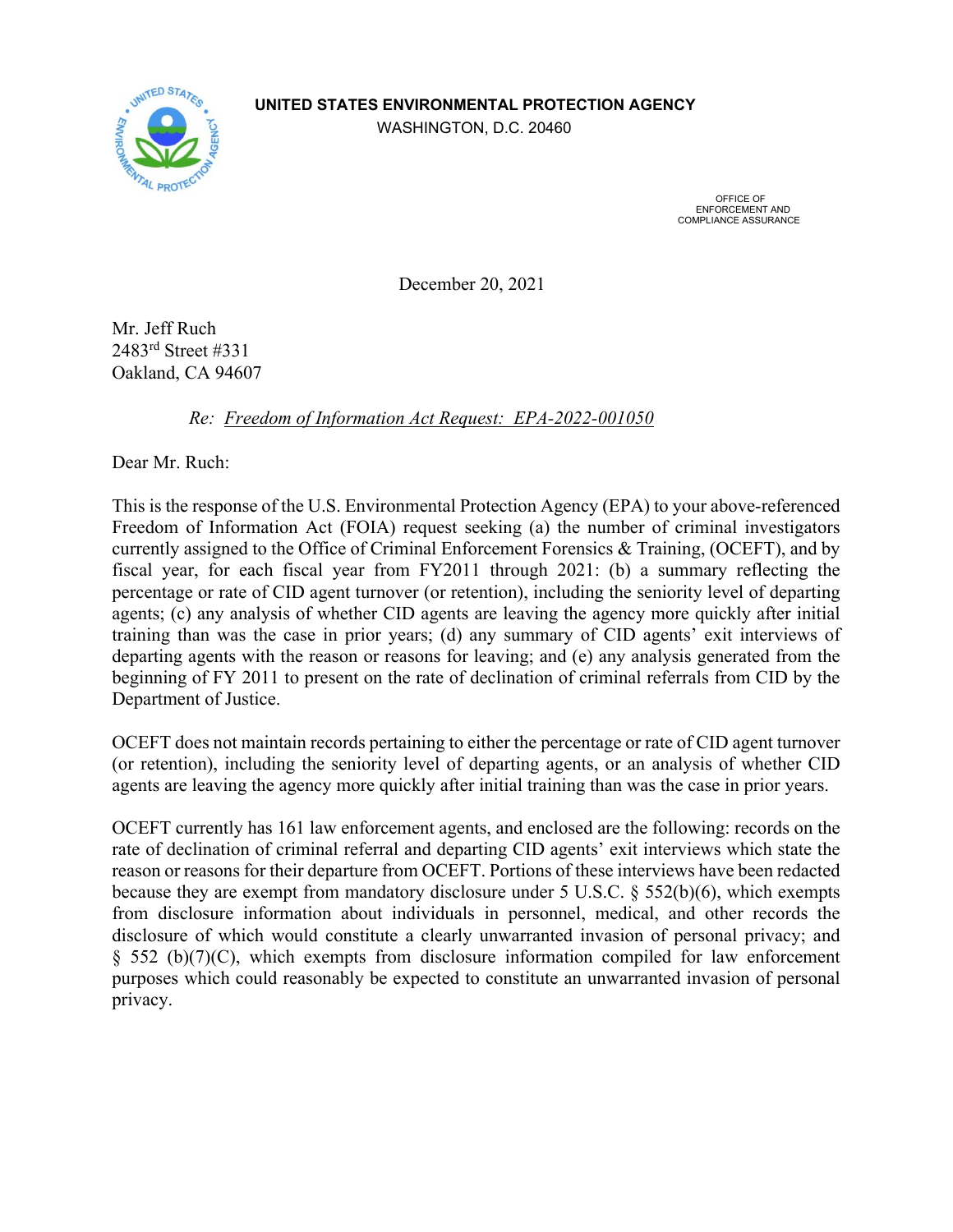## **UNITED STATES ENVIRONMENTAL PROTECTION AGENCY**



WASHINGTON, D.C. 20460

 OFFICE OF ENFORCEMENT AND COMPLIANCE ASSURANCE

December 20, 2021

Mr. Jeff Ruch 2483rd Street #331 Oakland, CA 94607

*Re: Freedom of Information Act Request: EPA-2022-001050*

Dear Mr. Ruch:

This is the response of the U.S. Environmental Protection Agency (EPA) to your above-referenced Freedom of Information Act (FOIA) request seeking (a) the number of criminal investigators currently assigned to the Office of Criminal Enforcement Forensics & Training, (OCEFT), and by fiscal year, for each fiscal year from FY2011 through 2021: (b) a summary reflecting the percentage or rate of CID agent turnover (or retention), including the seniority level of departing agents; (c) any analysis of whether CID agents are leaving the agency more quickly after initial training than was the case in prior years; (d) any summary of CID agents' exit interviews of departing agents with the reason or reasons for leaving; and (e) any analysis generated from the beginning of FY 2011 to present on the rate of declination of criminal referrals from CID by the Department of Justice.

OCEFT does not maintain records pertaining to either the percentage or rate of CID agent turnover (or retention), including the seniority level of departing agents, or an analysis of whether CID agents are leaving the agency more quickly after initial training than was the case in prior years.

OCEFT currently has 161 law enforcement agents, and enclosed are the following: records on the rate of declination of criminal referral and departing CID agents' exit interviews which state the reason or reasons for their departure from OCEFT. Portions of these interviews have been redacted because they are exempt from mandatory disclosure under 5 U.S.C. § 552(b)(6), which exempts from disclosure information about individuals in personnel, medical, and other records the disclosure of which would constitute a clearly unwarranted invasion of personal privacy; and § 552 (b)(7)(C), which exempts from disclosure information compiled for law enforcement purposes which could reasonably be expected to constitute an unwarranted invasion of personal privacy.